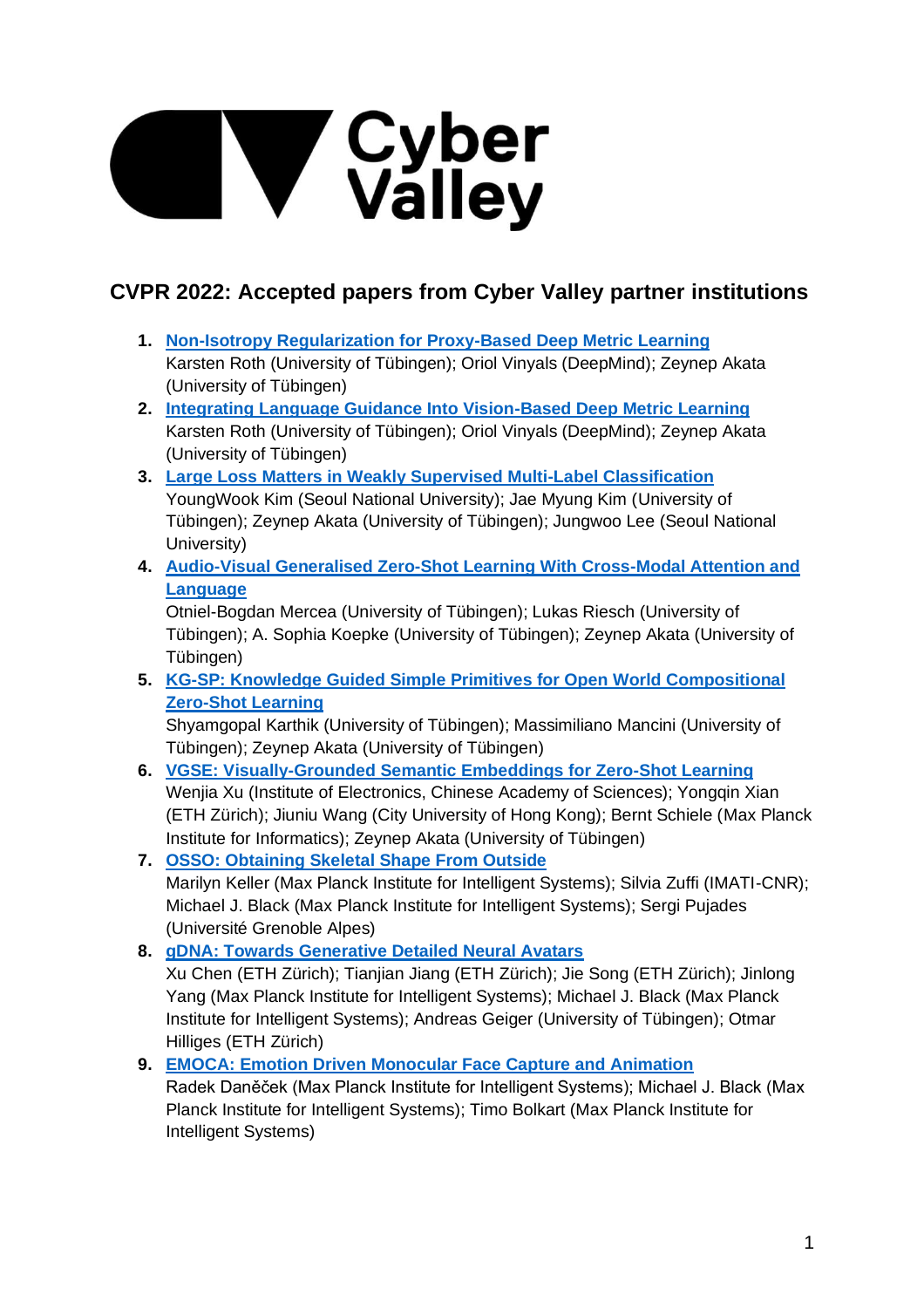# **Samuel Victor**<br> **Samuel Valley**

# **CVPR 2022: Accepted papers from Cyber Valley partner institutions**

- **1. [Non-Isotropy Regularization for Proxy-Based Deep Metric Learning](https://arxiv.org/abs/2203.08547)** Karsten Roth (University of Tübingen); Oriol Vinyals (DeepMind); Zeynep Akata (University of Tübingen)
- **2. [Integrating Language Guidance Into Vision-Based Deep Metric Learning](https://arxiv.org/abs/2203.08543)** Karsten Roth (University of Tübingen); Oriol Vinyals (DeepMind); Zeynep Akata (University of Tübingen)
- **3. [Large Loss Matters in Weakly Supervised Multi-Label Classification](https://arxiv.org/abs/2206.03740)** YoungWook Kim (Seoul National University); Jae Myung Kim (University of Tübingen); Zeynep Akata (University of Tübingen); Jungwoo Lee (Seoul National University)
- **4. [Audio-Visual Generalised Zero-Shot Learning With Cross-Modal Attention and](https://arxiv.org/abs/2203.03598)  [Language](https://arxiv.org/abs/2203.03598)**

Otniel-Bogdan Mercea (University of Tübingen); Lukas Riesch (University of Tübingen); A. Sophia Koepke (University of Tübingen); Zeynep Akata (University of Tübingen)

**5. [KG-SP: Knowledge Guided Simple Primitives for Open World Compositional](https://arxiv.org/abs/2205.06784)  [Zero-Shot Learning](https://arxiv.org/abs/2205.06784)**

Shyamgopal Karthik (University of Tübingen); Massimiliano Mancini (University of Tübingen); Zeynep Akata (University of Tübingen)

- **6. [VGSE: Visually-Grounded Semantic Embeddings for Zero-Shot Learning](https://arxiv.org/abs/2203.10444)** Wenjia Xu (Institute of Electronics, Chinese Academy of Sciences); Yongqin Xian (ETH Zürich); Jiuniu Wang (City University of Hong Kong); Bernt Schiele (Max Planck Institute for Informatics); Zeynep Akata (University of Tübingen)
- **7. [OSSO: Obtaining Skeletal Shape From Outside](https://arxiv.org/abs/2204.10129)** Marilyn Keller (Max Planck Institute for Intelligent Systems); Silvia Zuffi (IMATI-CNR); Michael J. Black (Max Planck Institute for Intelligent Systems); Sergi Pujades (Université Grenoble Alpes)
- **8. [gDNA: Towards Generative Detailed Neural Avatars](https://arxiv.org/abs/2201.04123)** Xu Chen (ETH Zürich); Tianjian Jiang (ETH Zürich); Jie Song (ETH Zürich); Jinlong Yang (Max Planck Institute for Intelligent Systems); Michael J. Black (Max Planck Institute for Intelligent Systems); Andreas Geiger (University of Tübingen); Otmar Hilliges (ETH Zürich)
- **9. EMOCA: Emotion Driven [Monocular Face Capture and Animation](https://arxiv.org/abs/2204.11312)** Radek Daněček (Max Planck Institute for Intelligent Systems); Michael J. Black (Max Planck Institute for Intelligent Systems); Timo Bolkart (Max Planck Institute for Intelligent Systems)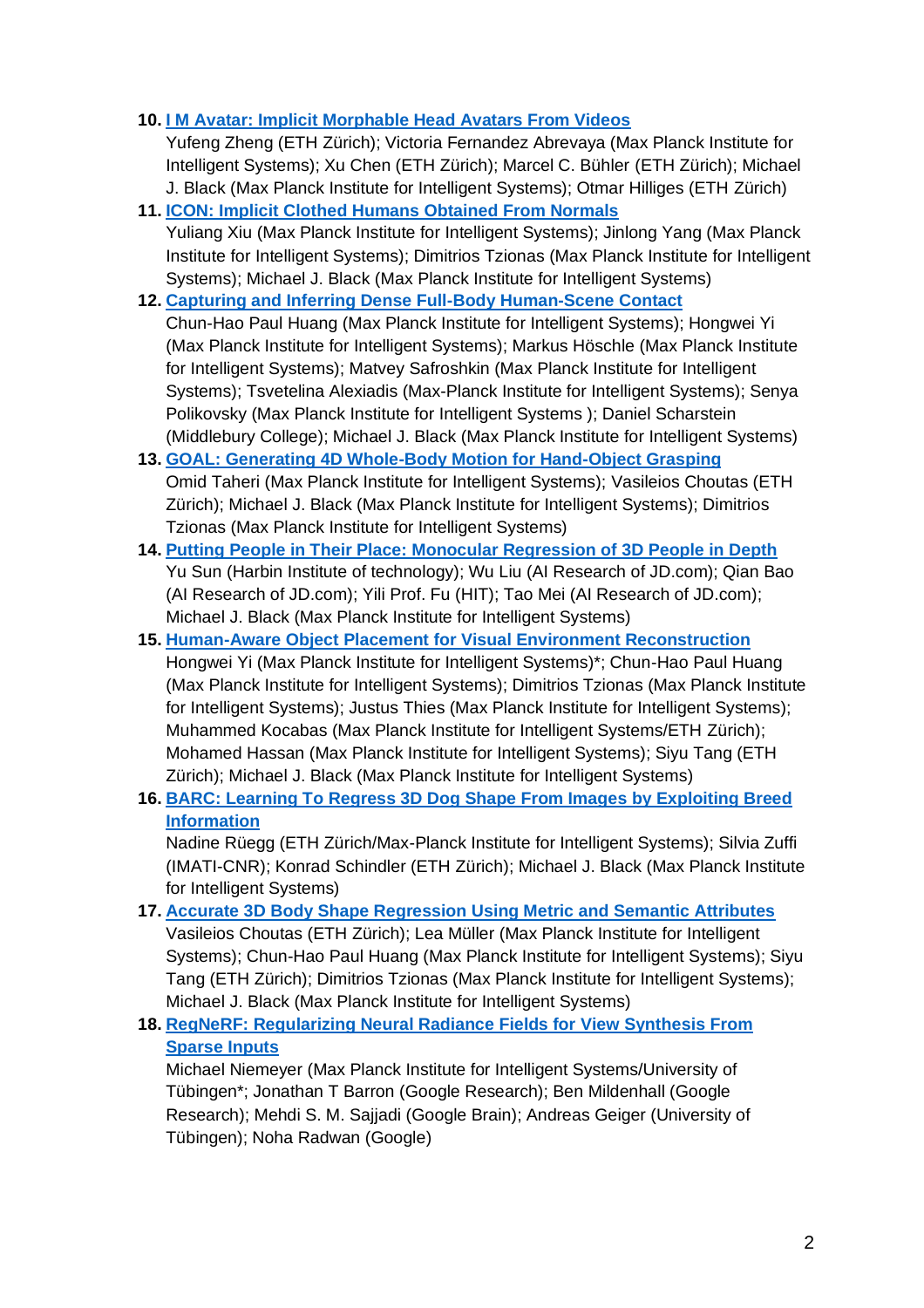### **10. [I M Avatar: Implicit Morphable Head Avatars From Videos](https://arxiv.org/abs/2112.07471)**

Yufeng Zheng (ETH Zürich); Victoria Fernandez Abrevaya (Max Planck Institute for Intelligent Systems); Xu Chen (ETH Zürich); Marcel C. Bühler (ETH Zürich); Michael J. Black (Max Planck Institute for Intelligent Systems); Otmar Hilliges (ETH Zürich)

**11. [ICON: Implicit Clothed Humans Obtained From Normals](https://arxiv.org/abs/2112.09127)**

Yuliang Xiu (Max Planck Institute for Intelligent Systems); Jinlong Yang (Max Planck Institute for Intelligent Systems); Dimitrios Tzionas (Max Planck Institute for Intelligent Systems); Michael J. Black (Max Planck Institute for Intelligent Systems)

**12. [Capturing and Inferring Dense Full-Body Human-Scene Contact](https://openaccess.thecvf.com/content/CVPR2022/supplemental/Huang_Capturing_and_Inferring_CVPR_2022_supplemental.pdf)**

Chun-Hao Paul Huang (Max Planck Institute for Intelligent Systems); Hongwei Yi (Max Planck Institute for Intelligent Systems); Markus Höschle (Max Planck Institute for Intelligent Systems); Matvey Safroshkin (Max Planck Institute for Intelligent Systems); Tsvetelina Alexiadis (Max-Planck Institute for Intelligent Systems); Senya Polikovsky (Max Planck Institute for Intelligent Systems ); Daniel Scharstein (Middlebury College); Michael J. Black (Max Planck Institute for Intelligent Systems)

- **13. [GOAL: Generating 4D Whole-Body Motion for Hand-Object Grasping](https://arxiv.org/abs/2112.11454)** Omid Taheri (Max Planck Institute for Intelligent Systems); Vasileios Choutas (ETH Zürich); Michael J. Black (Max Planck Institute for Intelligent Systems); Dimitrios Tzionas (Max Planck Institute for Intelligent Systems)
- **14. [Putting People in Their Place: Monocular Regression of 3D People in Depth](https://arxiv.org/abs/2112.08274)** Yu Sun (Harbin Institute of technology); Wu Liu (AI Research of JD.com); Qian Bao (AI Research of JD.com); Yili Prof. Fu (HIT); Tao Mei (AI Research of JD.com); Michael J. Black (Max Planck Institute for Intelligent Systems)
- **15. [Human-Aware Object Placement for Visual Environment Reconstruction](https://arxiv.org/abs/2203.03609)** Hongwei Yi (Max Planck Institute for Intelligent Systems)\*; Chun-Hao Paul Huang (Max Planck Institute for Intelligent Systems); Dimitrios Tzionas (Max Planck Institute for Intelligent Systems); Justus Thies (Max Planck Institute for Intelligent Systems); Muhammed Kocabas (Max Planck Institute for Intelligent Systems/ETH Zürich); Mohamed Hassan (Max Planck Institute for Intelligent Systems); Siyu Tang (ETH Zürich); Michael J. Black (Max Planck Institute for Intelligent Systems)
- **16. BARC: Learning To [Regress 3D Dog Shape From Images by Exploiting Breed](https://arxiv.org/abs/2203.15536)  [Information](https://arxiv.org/abs/2203.15536)**

Nadine Rüegg (ETH Zürich/Max-Planck Institute for Intelligent Systems); Silvia Zuffi (IMATI-CNR); Konrad Schindler (ETH Zürich); Michael J. Black (Max Planck Institute for Intelligent Systems)

**17. [Accurate 3D Body Shape Regression Using Metric and Semantic Attributes](https://arxiv.org/abs/2206.07036)** Vasileios Choutas (ETH Zürich); Lea Müller (Max Planck Institute for Intelligent Systems); Chun-Hao Paul Huang (Max Planck Institute for Intelligent Systems); Siyu Tang (ETH Zürich); Dimitrios Tzionas (Max Planck Institute for Intelligent Systems); Michael J. Black (Max Planck Institute for Intelligent Systems)

### **18. [RegNeRF: Regularizing Neural Radiance Fields for](https://arxiv.org/abs/2112.00724) View Synthesis From [Sparse Inputs](https://arxiv.org/abs/2112.00724)**

Michael Niemeyer (Max Planck Institute for Intelligent Systems/University of Tübingen\*; Jonathan T Barron (Google Research); Ben Mildenhall (Google Research); Mehdi S. M. Sajjadi (Google Brain); Andreas Geiger (University of Tübingen); Noha Radwan (Google)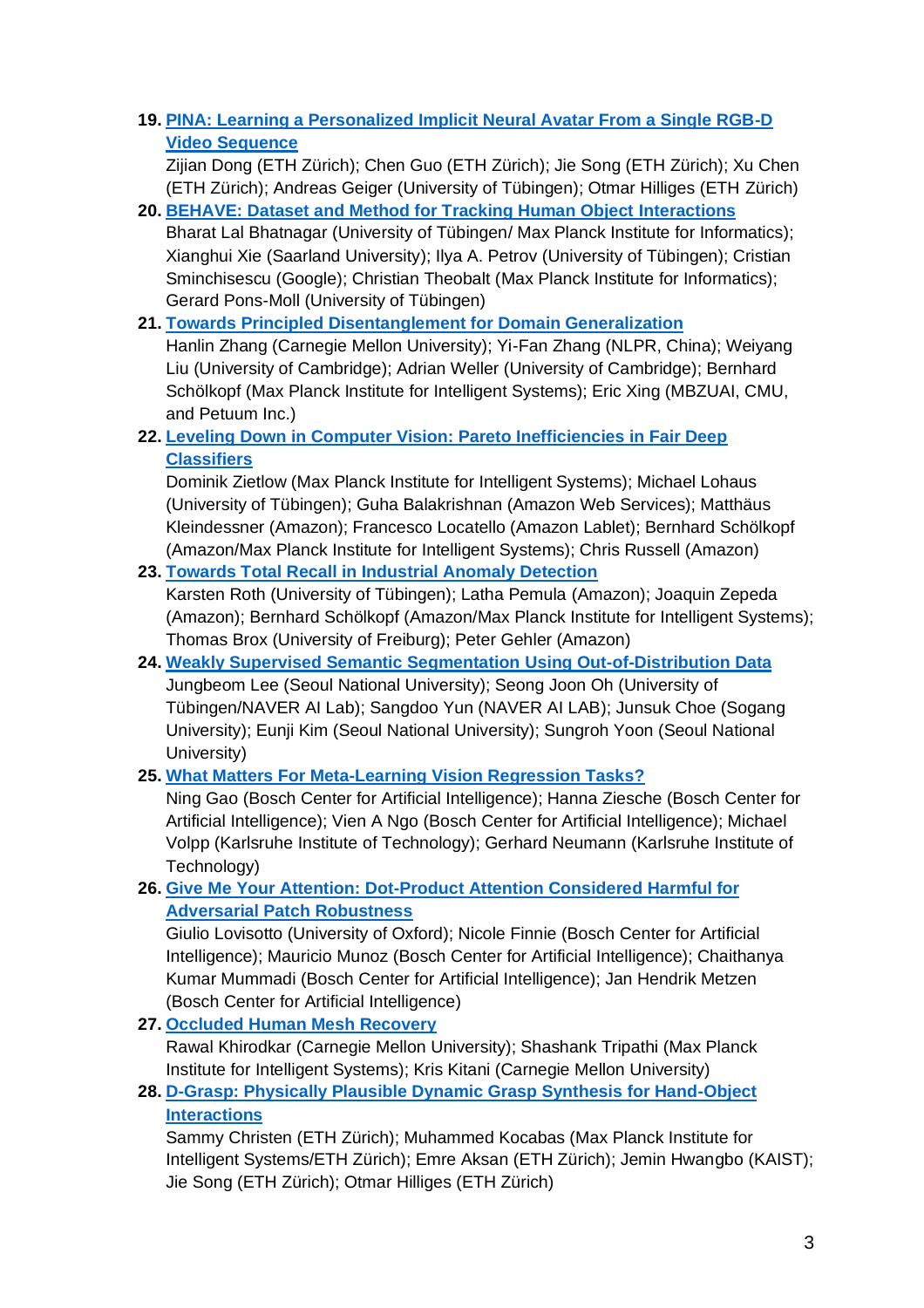## **19. [PINA: Learning a Personalized Implicit Neural Avatar From a Single RGB-D](https://arxiv.org/abs/2203.01754)  [Video Sequence](https://arxiv.org/abs/2203.01754)**

Zijian Dong (ETH Zürich); Chen Guo (ETH Zürich); Jie Song (ETH Zürich); Xu Chen (ETH Zürich); Andreas Geiger (University of Tübingen); Otmar Hilliges (ETH Zürich)

- **20. [BEHAVE: Dataset and Method for Tracking Human Object Interactions](https://arxiv.org/abs/2204.06950)** Bharat Lal Bhatnagar (University of Tübingen/ Max Planck Institute for Informatics); Xianghui Xie (Saarland University); Ilya A. Petrov (University of Tübingen); Cristian Sminchisescu (Google); Christian Theobalt (Max Planck Institute for Informatics); Gerard Pons-Moll (University of Tübingen)
- **21. [Towards Principled Disentanglement for Domain Generalization](https://arxiv.org/abs/2111.13839)**

Hanlin Zhang (Carnegie Mellon University); Yi-Fan Zhang (NLPR, China); Weiyang Liu (University of Cambridge); Adrian Weller (University of Cambridge); Bernhard Schölkopf (Max Planck Institute for Intelligent Systems); Eric Xing (MBZUAI, CMU, and Petuum Inc.)

**22. [Leveling Down in Computer Vision: Pareto Inefficiencies in Fair Deep](https://arxiv.org/abs/2203.04913)  [Classifiers](https://arxiv.org/abs/2203.04913)**

Dominik Zietlow (Max Planck Institute for Intelligent Systems); Michael Lohaus (University of Tübingen); Guha Balakrishnan (Amazon Web Services); Matthäus Kleindessner (Amazon); Francesco Locatello (Amazon Lablet); Bernhard Schölkopf (Amazon/Max Planck Institute for Intelligent Systems); Chris Russell (Amazon)

**23. [Towards Total Recall in Industrial Anomaly Detection](https://arxiv.org/abs/2106.08265)**

Karsten Roth (University of Tübingen); Latha Pemula (Amazon); Joaquin Zepeda (Amazon); Bernhard Schölkopf (Amazon/Max Planck Institute for Intelligent Systems); Thomas Brox (University of Freiburg); Peter Gehler (Amazon)

- **24. [Weakly Supervised Semantic Segmentation](https://arxiv.org/abs/2203.03860) Using Out-of-Distribution Data** Jungbeom Lee (Seoul National University); Seong Joon Oh (University of Tübingen/NAVER AI Lab); Sangdoo Yun (NAVER AI LAB); Junsuk Choe (Sogang University); Eunji Kim (Seoul National University); Sungroh Yoon (Seoul National University)
- **25. [What Matters For Meta-Learning Vision Regression Tasks?](https://arxiv.org/abs/2203.04905)**

Ning Gao (Bosch Center for Artificial Intelligence); Hanna Ziesche (Bosch Center for Artificial Intelligence); Vien A Ngo (Bosch Center for Artificial Intelligence); Michael Volpp (Karlsruhe Institute of Technology); Gerhard Neumann (Karlsruhe Institute of Technology)

### **26. [Give Me Your Attention: Dot-Product Attention Considered Harmful for](https://arxiv.org/abs/2203.13639)  [Adversarial Patch Robustness](https://arxiv.org/abs/2203.13639)**

Giulio Lovisotto (University of Oxford); Nicole Finnie (Bosch Center for Artificial Intelligence); Mauricio Munoz (Bosch Center for Artificial Intelligence); Chaithanya Kumar Mummadi (Bosch Center for Artificial Intelligence); Jan Hendrik Metzen (Bosch Center for Artificial Intelligence)

**27. [Occluded Human Mesh Recovery](https://arxiv.org/abs/2203.13349)**

Rawal Khirodkar (Carnegie Mellon University); Shashank Tripathi (Max Planck Institute for Intelligent Systems); Kris Kitani (Carnegie Mellon University)

**28. [D-Grasp: Physically Plausible Dynamic Grasp Synthesis for Hand-Object](https://arxiv.org/abs/2112.03028)  [Interactions](https://arxiv.org/abs/2112.03028)**

Sammy Christen (ETH Zürich); Muhammed Kocabas (Max Planck Institute for Intelligent Systems/ETH Zürich); Emre Aksan (ETH Zürich); Jemin Hwangbo (KAIST); Jie Song (ETH Zürich); Otmar Hilliges (ETH Zürich)